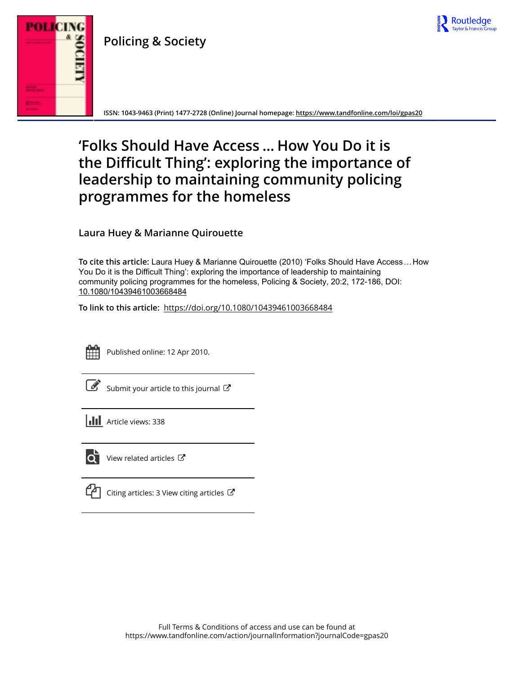

**Policing & Society**



**ISSN: 1043-9463 (Print) 1477-2728 (Online) Journal homepage:<https://www.tandfonline.com/loi/gpas20>**

# **'Folks Should Have Access … How You Do it is the Difficult Thing': exploring the importance of leadership to maintaining community policing programmes for the homeless**

**Laura Huey & Marianne Quirouette**

**To cite this article:** Laura Huey & Marianne Quirouette (2010) 'Folks Should Have Access…How You Do it is the Difficult Thing': exploring the importance of leadership to maintaining community policing programmes for the homeless, Policing & Society, 20:2, 172-186, DOI: [10.1080/10439461003668484](https://www.tandfonline.com/action/showCitFormats?doi=10.1080/10439461003668484)

**To link to this article:** <https://doi.org/10.1080/10439461003668484>



Published online: 12 Apr 2010.

[Submit your article to this journal](https://www.tandfonline.com/action/authorSubmission?journalCode=gpas20&show=instructions)  $\mathbb{Z}$ 

 $\overrightarrow{Q}$  [View related articles](https://www.tandfonline.com/doi/mlt/10.1080/10439461003668484)  $\overrightarrow{C}$ 

views: 338

[Citing articles: 3 View citing articles](https://www.tandfonline.com/doi/citedby/10.1080/10439461003668484#tabModule)  $\mathbb{Z}$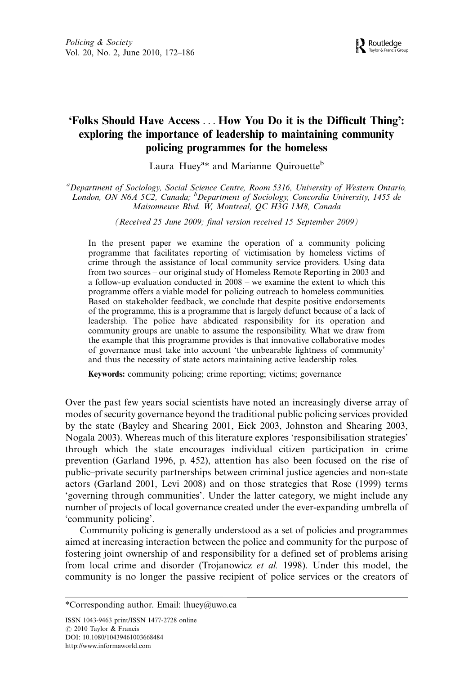## 'Folks Should Have Access ... How You Do it is the Difficult Thing': exploring the importance of leadership to maintaining community policing programmes for the homeless

Laura Huey<sup>a\*</sup> and Marianne Quirouette<sup>b</sup>

<sup>a</sup> Department of Sociology, Social Science Centre, Room 5316, University of Western Ontario, London, ON N6A 5C2, Canada; <sup>b</sup>Department of Sociology, Concordia University, 1455 de Maisonneuve Blvd. W, Montreal, QC H3G 1M8, Canada

(Received 25 June 2009; final version received 15 September 2009)

In the present paper we examine the operation of a community policing programme that facilitates reporting of victimisation by homeless victims of crime through the assistance of local community service providers. Using data from two sources – our original study of Homeless Remote Reporting in 2003 and a follow-up evaluation conducted in  $2008 -$  we examine the extent to which this programme offers a viable model for policing outreach to homeless communities. Based on stakeholder feedback, we conclude that despite positive endorsements of the programme, this is a programme that is largely defunct because of a lack of leadership. The police have abdicated responsibility for its operation and community groups are unable to assume the responsibility. What we draw from the example that this programme provides is that innovative collaborative modes of governance must take into account 'the unbearable lightness of community' and thus the necessity of state actors maintaining active leadership roles.

Keywords: community policing; crime reporting; victims; governance

Over the past few years social scientists have noted an increasingly diverse array of modes of security governance beyond the traditional public policing services provided by the state (Bayley and Shearing 2001, Eick 2003, Johnston and Shearing 2003, Nogala 2003). Whereas much of this literature explores 'responsibilisation strategies' through which the state encourages individual citizen participation in crime prevention (Garland 1996, p. 452), attention has also been focused on the rise of public-private security partnerships between criminal justice agencies and non-state actors (Garland 2001, Levi 2008) and on those strategies that Rose (1999) terms 'governing through communities'. Under the latter category, we might include any number of projects of local governance created under the ever-expanding umbrella of 'community policing'.

Community policing is generally understood as a set of policies and programmes aimed at increasing interaction between the police and community for the purpose of fostering joint ownership of and responsibility for a defined set of problems arising from local crime and disorder (Trojanowicz et al. 1998). Under this model, the community is no longer the passive recipient of police services or the creators of

<sup>\*</sup>Corresponding author. Email: lhuey@uwo.ca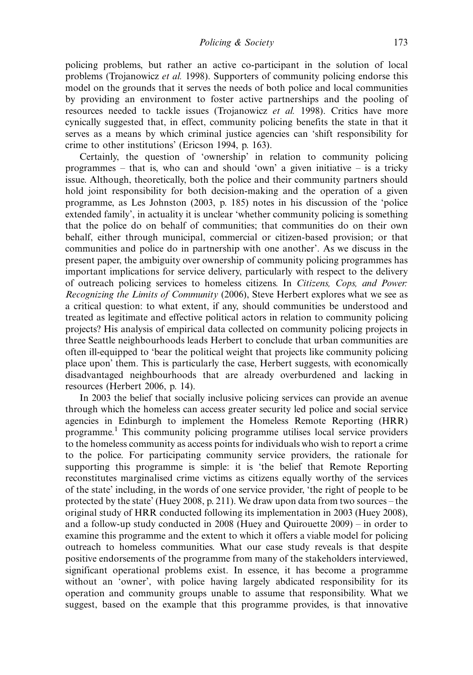policing problems, but rather an active co-participant in the solution of local problems (Trojanowicz et al. 1998). Supporters of community policing endorse this model on the grounds that it serves the needs of both police and local communities by providing an environment to foster active partnerships and the pooling of resources needed to tackle issues (Trojanowicz et al. 1998). Critics have more cynically suggested that, in effect, community policing benefits the state in that it serves as a means by which criminal justice agencies can 'shift responsibility for crime to other institutions' (Ericson 1994, p. 163).

Certainly, the question of 'ownership' in relation to community policing programmes – that is, who can and should 'own' a given initiative – is a tricky issue. Although, theoretically, both the police and their community partners should hold joint responsibility for both decision-making and the operation of a given programme, as Les Johnston (2003, p. 185) notes in his discussion of the 'police extended family', in actuality it is unclear 'whether community policing is something that the police do on behalf of communities; that communities do on their own behalf, either through municipal, commercial or citizen-based provision; or that communities and police do in partnership with one another'. As we discuss in the present paper, the ambiguity over ownership of community policing programmes has important implications for service delivery, particularly with respect to the delivery of outreach policing services to homeless citizens. In Citizens, Cops, and Power: Recognizing the Limits of Community (2006), Steve Herbert explores what we see as a critical question: to what extent, if any, should communities be understood and treated as legitimate and effective political actors in relation to community policing projects? His analysis of empirical data collected on community policing projects in three Seattle neighbourhoods leads Herbert to conclude that urban communities are often ill-equipped to 'bear the political weight that projects like community policing place upon' them. This is particularly the case, Herbert suggests, with economically disadvantaged neighbourhoods that are already overburdened and lacking in resources (Herbert 2006, p. 14).

In 2003 the belief that socially inclusive policing services can provide an avenue through which the homeless can access greater security led police and social service agencies in Edinburgh to implement the Homeless Remote Reporting (HRR) programme.1 This community policing programme utilises local service providers to the homeless community as access points for individuals who wish to report a crime to the police. For participating community service providers, the rationale for supporting this programme is simple: it is 'the belief that Remote Reporting reconstitutes marginalised crime victims as citizens equally worthy of the services of the state' including, in the words of one service provider, 'the right of people to be protected by the state' (Huey 2008, p. 211). We draw upon data from two sources  $-$  the original study of HRR conducted following its implementation in 2003 (Huey 2008), and a follow-up study conducted in  $2008$  (Huey and Quirouette  $2009$ ) – in order to examine this programme and the extent to which it offers a viable model for policing outreach to homeless communities. What our case study reveals is that despite positive endorsements of the programme from many of the stakeholders interviewed, significant operational problems exist. In essence, it has become a programme without an 'owner', with police having largely abdicated responsibility for its operation and community groups unable to assume that responsibility. What we suggest, based on the example that this programme provides, is that innovative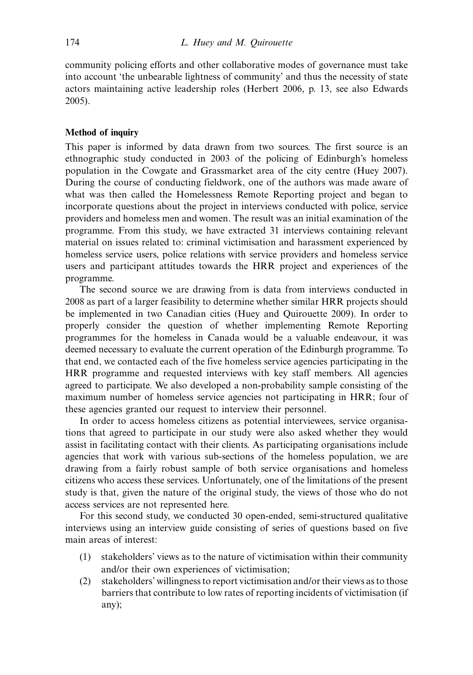community policing efforts and other collaborative modes of governance must take into account 'the unbearable lightness of community' and thus the necessity of state actors maintaining active leadership roles (Herbert 2006, p. 13, see also Edwards 2005).

#### Method of inquiry

This paper is informed by data drawn from two sources. The first source is an ethnographic study conducted in 2003 of the policing of Edinburgh's homeless population in the Cowgate and Grassmarket area of the city centre (Huey 2007). During the course of conducting fieldwork, one of the authors was made aware of what was then called the Homelessness Remote Reporting project and began to incorporate questions about the project in interviews conducted with police, service providers and homeless men and women. The result was an initial examination of the programme. From this study, we have extracted 31 interviews containing relevant material on issues related to: criminal victimisation and harassment experienced by homeless service users, police relations with service providers and homeless service users and participant attitudes towards the HRR project and experiences of the programme.

The second source we are drawing from is data from interviews conducted in 2008 as part of a larger feasibility to determine whether similar HRR projects should be implemented in two Canadian cities (Huey and Quirouette 2009). In order to properly consider the question of whether implementing Remote Reporting programmes for the homeless in Canada would be a valuable endeavour, it was deemed necessary to evaluate the current operation of the Edinburgh programme. To that end, we contacted each of the five homeless service agencies participating in the HRR programme and requested interviews with key staff members. All agencies agreed to participate. We also developed a non-probability sample consisting of the maximum number of homeless service agencies not participating in HRR; four of these agencies granted our request to interview their personnel.

In order to access homeless citizens as potential interviewees, service organisations that agreed to participate in our study were also asked whether they would assist in facilitating contact with their clients. As participating organisations include agencies that work with various sub-sections of the homeless population, we are drawing from a fairly robust sample of both service organisations and homeless citizens who access these services. Unfortunately, one of the limitations of the present study is that, given the nature of the original study, the views of those who do not access services are not represented here.

For this second study, we conducted 30 open-ended, semi-structured qualitative interviews using an interview guide consisting of series of questions based on five main areas of interest:

- (1) stakeholders' views as to the nature of victimisation within their community and/or their own experiences of victimisation;
- (2) stakeholders' willingness to report victimisation and/or their views as to those barriers that contribute to low rates of reporting incidents of victimisation (if any);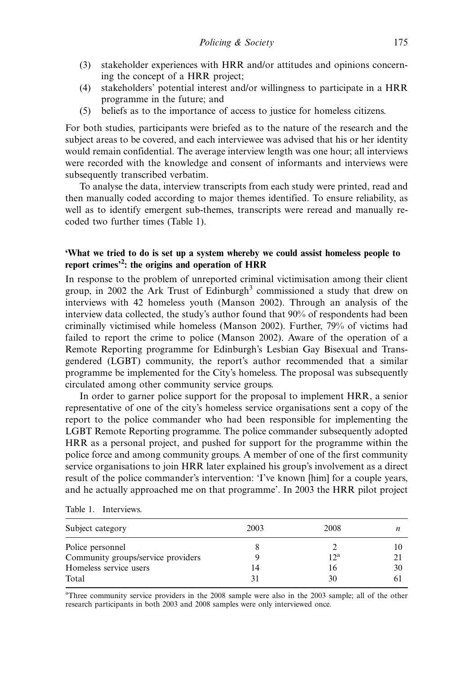- (3) stakeholder experiences with HRR and/or attitudes and opinions concerning the concept of a HRR project;
- (4) stakeholders' potential interest and/or willingness to participate in a HRR programme in the future; and
- (5) beliefs as to the importance of access to justice for homeless citizens.

For both studies, participants were briefed as to the nature of the research and the subject areas to be covered, and each interviewee was advised that his or her identity would remain confidential. The average interview length was one hour; all interviews were recorded with the knowledge and consent of informants and interviews were subsequently transcribed verbatim.

To analyse the data, interview transcripts from each study were printed, read and then manually coded according to major themes identified. To ensure reliability, as well as to identify emergent sub-themes, transcripts were reread and manually recoded two further times (Table 1).

#### 'What we tried to do is set up a system whereby we could assist homeless people to report crimes<sup>32</sup>: the origins and operation of HRR

In response to the problem of unreported criminal victimisation among their client group, in 2002 the Ark Trust of Edinburgh<sup>3</sup> commissioned a study that drew on interviews with 42 homeless youth (Manson 2002). Through an analysis of the interview data collected, the study's author found that 90% of respondents had been criminally victimised while homeless (Manson 2002). Further, 79% of victims had failed to report the crime to police (Manson 2002). Aware of the operation of a Remote Reporting programme for Edinburgh's Lesbian Gay Bisexual and Transgendered (LGBT) community, the report's author recommended that a similar programme be implemented for the City's homeless. The proposal was subsequently circulated among other community service groups.

In order to garner police support for the proposal to implement HRR, a senior representative of one of the city's homeless service organisations sent a copy of the report to the police commander who had been responsible for implementing the LGBT Remote Reporting programme. The police commander subsequently adopted HRR as a personal project, and pushed for support for the programme within the police force and among community groups. A member of one of the first community service organisations to join HRR later explained his group's involvement as a direct result of the police commander's intervention: 'I've known [him] for a couple years, and he actually approached me on that programme'. In 2003 the HRR pilot project

| Subject category                   | 2003 | 2008   |    |
|------------------------------------|------|--------|----|
| Police personnel                   |      |        |    |
| Community groups/service providers |      | $12^a$ |    |
| Homeless service users             | 14   | 16     | 30 |
| Total                              |      | 30     |    |

<sup>a</sup>Three community service providers in the 2008 sample were also in the 2003 sample; all of the other research participants in both 2003 and 2008 samples were only interviewed once.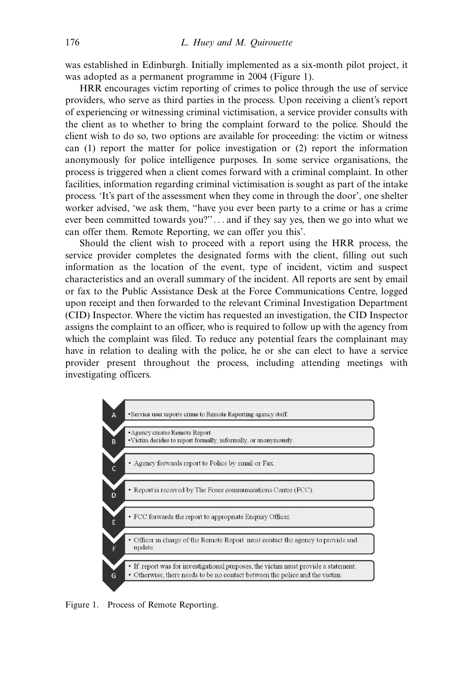was established in Edinburgh. Initially implemented as a six-month pilot project, it was adopted as a permanent programme in 2004 (Figure 1).

HRR encourages victim reporting of crimes to police through the use of service providers, who serve as third parties in the process. Upon receiving a client's report of experiencing or witnessing criminal victimisation, a service provider consults with the client as to whether to bring the complaint forward to the police. Should the client wish to do so, two options are available for proceeding: the victim or witness can (1) report the matter for police investigation or (2) report the information anonymously for police intelligence purposes. In some service organisations, the process is triggered when a client comes forward with a criminal complaint. In other facilities, information regarding criminal victimisation is sought as part of the intake process. 'It's part of the assessment when they come in through the door', one shelter worker advised, 'we ask them, ''have you ever been party to a crime or has a crime ever been committed towards you?''... and if they say yes, then we go into what we can offer them. Remote Reporting, we can offer you this'.

Should the client wish to proceed with a report using the HRR process, the service provider completes the designated forms with the client, filling out such information as the location of the event, type of incident, victim and suspect characteristics and an overall summary of the incident. All reports are sent by email or fax to the Public Assistance Desk at the Force Communications Centre, logged upon receipt and then forwarded to the relevant Criminal Investigation Department (CID) Inspector. Where the victim has requested an investigation, the CID Inspector assigns the complaint to an officer, who is required to follow up with the agency from which the complaint was filed. To reduce any potential fears the complainant may have in relation to dealing with the police, he or she can elect to have a service provider present throughout the process, including attending meetings with investigating officers.



Figure 1. Process of Remote Reporting.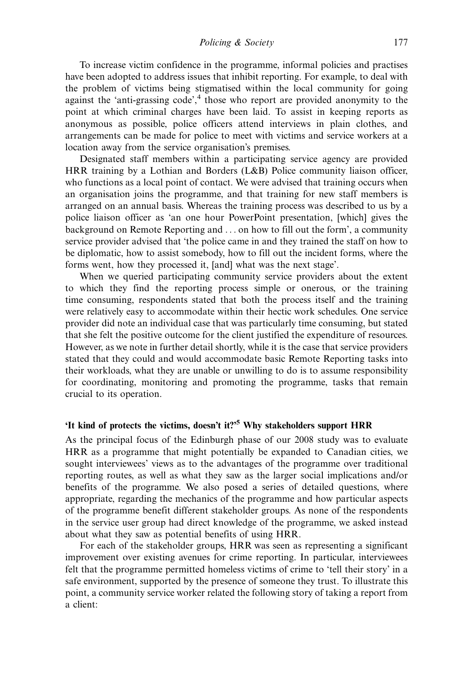Policing & Society 177

To increase victim confidence in the programme, informal policies and practises have been adopted to address issues that inhibit reporting. For example, to deal with the problem of victims being stigmatised within the local community for going against the 'anti-grassing code', <sup>4</sup> those who report are provided anonymity to the point at which criminal charges have been laid. To assist in keeping reports as anonymous as possible, police officers attend interviews in plain clothes, and arrangements can be made for police to meet with victims and service workers at a location away from the service organisation's premises.

Designated staff members within a participating service agency are provided HRR training by a Lothian and Borders (L&B) Police community liaison officer, who functions as a local point of contact. We were advised that training occurs when an organisation joins the programme, and that training for new staff members is arranged on an annual basis. Whereas the training process was described to us by a police liaison officer as 'an one hour PowerPoint presentation, [which] gives the background on Remote Reporting and ... on how to fill out the form', a community service provider advised that 'the police came in and they trained the staff on how to be diplomatic, how to assist somebody, how to fill out the incident forms, where the forms went, how they processed it, [and] what was the next stage'.

When we queried participating community service providers about the extent to which they find the reporting process simple or onerous, or the training time consuming, respondents stated that both the process itself and the training were relatively easy to accommodate within their hectic work schedules. One service provider did note an individual case that was particularly time consuming, but stated that she felt the positive outcome for the client justified the expenditure of resources. However, as we note in further detail shortly, while it is the case that service providers stated that they could and would accommodate basic Remote Reporting tasks into their workloads, what they are unable or unwilling to do is to assume responsibility for coordinating, monitoring and promoting the programme, tasks that remain crucial to its operation.

## 'It kind of protects the victims, doesn't it?'<sup>5</sup> Why stakeholders support HRR

As the principal focus of the Edinburgh phase of our 2008 study was to evaluate HRR as a programme that might potentially be expanded to Canadian cities, we sought interviewees' views as to the advantages of the programme over traditional reporting routes, as well as what they saw as the larger social implications and/or benefits of the programme. We also posed a series of detailed questions, where appropriate, regarding the mechanics of the programme and how particular aspects of the programme benefit different stakeholder groups. As none of the respondents in the service user group had direct knowledge of the programme, we asked instead about what they saw as potential benefits of using HRR.

For each of the stakeholder groups, HRR was seen as representing a significant improvement over existing avenues for crime reporting. In particular, interviewees felt that the programme permitted homeless victims of crime to 'tell their story' in a safe environment, supported by the presence of someone they trust. To illustrate this point, a community service worker related the following story of taking a report from a client: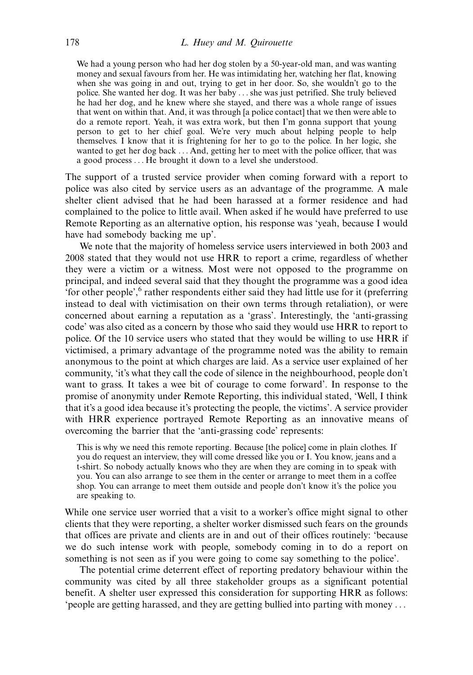We had a young person who had her dog stolen by a 50-year-old man, and was wanting money and sexual favours from her. He was intimidating her, watching her flat, knowing when she was going in and out, trying to get in her door. So, she wouldn't go to the police. She wanted her dog. It was her baby ... she was just petrified. She truly believed he had her dog, and he knew where she stayed, and there was a whole range of issues that went on within that. And, it was through [a police contact] that we then were able to do a remote report. Yeah, it was extra work, but then I'm gonna support that young person to get to her chief goal. We're very much about helping people to help themselves. I know that it is frightening for her to go to the police. In her logic, she wanted to get her dog back ... And, getting her to meet with the police officer, that was a good process ... He brought it down to a level she understood.

The support of a trusted service provider when coming forward with a report to police was also cited by service users as an advantage of the programme. A male shelter client advised that he had been harassed at a former residence and had complained to the police to little avail. When asked if he would have preferred to use Remote Reporting as an alternative option, his response was 'yeah, because I would have had somebody backing me up'.

We note that the majority of homeless service users interviewed in both 2003 and 2008 stated that they would not use HRR to report a crime, regardless of whether they were a victim or a witness. Most were not opposed to the programme on principal, and indeed several said that they thought the programme was a good idea 'for other people', <sup>6</sup> rather respondents either said they had little use for it (preferring instead to deal with victimisation on their own terms through retaliation), or were concerned about earning a reputation as a 'grass'. Interestingly, the 'anti-grassing code' was also cited as a concern by those who said they would use HRR to report to police. Of the 10 service users who stated that they would be willing to use HRR if victimised, a primary advantage of the programme noted was the ability to remain anonymous to the point at which charges are laid. As a service user explained of her community, 'it's what they call the code of silence in the neighbourhood, people don't want to grass. It takes a wee bit of courage to come forward'. In response to the promise of anonymity under Remote Reporting, this individual stated, 'Well, I think that it's a good idea because it's protecting the people, the victims'. A service provider with HRR experience portrayed Remote Reporting as an innovative means of overcoming the barrier that the 'anti-grassing code' represents:

This is why we need this remote reporting. Because [the police] come in plain clothes. If you do request an interview, they will come dressed like you or I. You know, jeans and a t-shirt. So nobody actually knows who they are when they are coming in to speak with you. You can also arrange to see them in the center or arrange to meet them in a coffee shop. You can arrange to meet them outside and people don't know it's the police you are speaking to.

While one service user worried that a visit to a worker's office might signal to other clients that they were reporting, a shelter worker dismissed such fears on the grounds that offices are private and clients are in and out of their offices routinely: 'because we do such intense work with people, somebody coming in to do a report on something is not seen as if you were going to come say something to the police'.

The potential crime deterrent effect of reporting predatory behaviour within the community was cited by all three stakeholder groups as a significant potential benefit. A shelter user expressed this consideration for supporting HRR as follows: 'people are getting harassed, and they are getting bullied into parting with money ...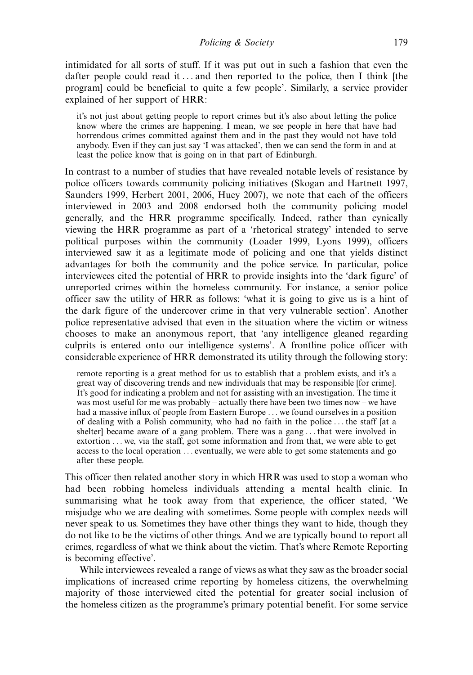intimidated for all sorts of stuff. If it was put out in such a fashion that even the dafter people could read it ... and then reported to the police, then I think [the program] could be beneficial to quite a few people'. Similarly, a service provider explained of her support of HRR:

it's not just about getting people to report crimes but it's also about letting the police know where the crimes are happening. I mean, we see people in here that have had horrendous crimes committed against them and in the past they would not have told anybody. Even if they can just say 'I was attacked', then we can send the form in and at least the police know that is going on in that part of Edinburgh.

In contrast to a number of studies that have revealed notable levels of resistance by police officers towards community policing initiatives (Skogan and Hartnett 1997, Saunders 1999, Herbert 2001, 2006, Huey 2007), we note that each of the officers interviewed in 2003 and 2008 endorsed both the community policing model generally, and the HRR programme specifically. Indeed, rather than cynically viewing the HRR programme as part of a 'rhetorical strategy' intended to serve political purposes within the community (Loader 1999, Lyons 1999), officers interviewed saw it as a legitimate mode of policing and one that yields distinct advantages for both the community and the police service. In particular, police interviewees cited the potential of HRR to provide insights into the 'dark figure' of unreported crimes within the homeless community. For instance, a senior police officer saw the utility of HRR as follows: 'what it is going to give us is a hint of the dark figure of the undercover crime in that very vulnerable section'. Another police representative advised that even in the situation where the victim or witness chooses to make an anonymous report, that 'any intelligence gleaned regarding culprits is entered onto our intelligence systems'. A frontline police officer with considerable experience of HRR demonstrated its utility through the following story:

remote reporting is a great method for us to establish that a problem exists, and it's a great way of discovering trends and new individuals that may be responsible [for crime]. It's good for indicating a problem and not for assisting with an investigation. The time it was most useful for me was probably  $-$  actually there have been two times now  $-$  we have had a massive influx of people from Eastern Europe ... we found ourselves in a position of dealing with a Polish community, who had no faith in the police ... the staff [at a shelter] became aware of a gang problem. There was a gang ... that were involved in extortion ... we, via the staff, got some information and from that, we were able to get access to the local operation ... eventually, we were able to get some statements and go after these people.

This officer then related another story in which HRR was used to stop a woman who had been robbing homeless individuals attending a mental health clinic. In summarising what he took away from that experience, the officer stated, 'We misjudge who we are dealing with sometimes. Some people with complex needs will never speak to us. Sometimes they have other things they want to hide, though they do not like to be the victims of other things. And we are typically bound to report all crimes, regardless of what we think about the victim. That's where Remote Reporting is becoming effective'.

While interviewees revealed a range of views as what they saw as the broader social implications of increased crime reporting by homeless citizens, the overwhelming majority of those interviewed cited the potential for greater social inclusion of the homeless citizen as the programme's primary potential benefit. For some service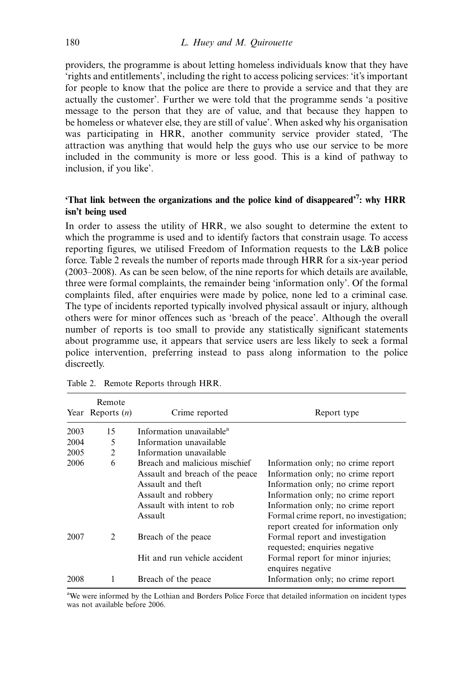providers, the programme is about letting homeless individuals know that they have 'rights and entitlements', including the right to access policing services: 'it's important for people to know that the police are there to provide a service and that they are actually the customer'. Further we were told that the programme sends 'a positive message to the person that they are of value, and that because they happen to be homeless or whatever else, they are still of value'. When asked why his organisation was participating in HRR, another community service provider stated, 'The attraction was anything that would help the guys who use our service to be more included in the community is more or less good. This is a kind of pathway to inclusion, if you like'.

### 'That link between the organizations and the police kind of disappeared'<sup>7</sup>: why HRR isn't being used

In order to assess the utility of HRR, we also sought to determine the extent to which the programme is used and to identify factors that constrain usage. To access reporting figures, we utilised Freedom of Information requests to the L&B police force. Table 2 reveals the number of reports made through HRR for a six-year period  $(2003-2008)$ . As can be seen below, of the nine reports for which details are available, three were formal complaints, the remainder being 'information only'. Of the formal complaints filed, after enquiries were made by police, none led to a criminal case. The type of incidents reported typically involved physical assault or injury, although others were for minor offences such as 'breach of the peace'. Although the overall number of reports is too small to provide any statistically significant statements about programme use, it appears that service users are less likely to seek a formal police intervention, preferring instead to pass along information to the police discreetly.

|      | Remote<br>Year Reports $(n)$ | Crime reported                                                                                                                                        | Report type                                                                                                                                                                                                                                                            |
|------|------------------------------|-------------------------------------------------------------------------------------------------------------------------------------------------------|------------------------------------------------------------------------------------------------------------------------------------------------------------------------------------------------------------------------------------------------------------------------|
| 2003 | 15                           | Information unavailable <sup>a</sup>                                                                                                                  |                                                                                                                                                                                                                                                                        |
| 2004 | 5                            | Information unavailable                                                                                                                               |                                                                                                                                                                                                                                                                        |
| 2005 | $\overline{2}$               | Information unavailable                                                                                                                               |                                                                                                                                                                                                                                                                        |
| 2006 | 6                            | Breach and malicious mischief<br>Assault and breach of the peace<br>Assault and theft<br>Assault and robbery<br>Assault with intent to rob<br>Assault | Information only; no crime report<br>Information only; no crime report<br>Information only; no crime report<br>Information only; no crime report<br>Information only; no crime report<br>Formal crime report, no investigation;<br>report created for information only |
| 2007 | $\mathfrak{D}$               | Breach of the peace<br>Hit and run vehicle accident                                                                                                   | Formal report and investigation<br>requested; enquiries negative<br>Formal report for minor injuries;<br>enquires negative                                                                                                                                             |
| 2008 |                              | Breach of the peace                                                                                                                                   | Information only; no crime report                                                                                                                                                                                                                                      |

Table 2. Remote Reports through HRR.

<sup>a</sup>We were informed by the Lothian and Borders Police Force that detailed information on incident types was not available before 2006.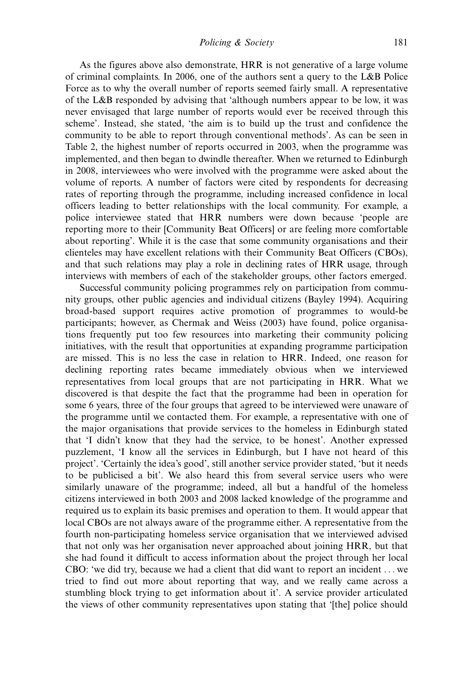As the figures above also demonstrate, HRR is not generative of a large volume of criminal complaints. In 2006, one of the authors sent a query to the L&B Police Force as to why the overall number of reports seemed fairly small. A representative of the L&B responded by advising that 'although numbers appear to be low, it was never envisaged that large number of reports would ever be received through this scheme'. Instead, she stated, 'the aim is to build up the trust and confidence the community to be able to report through conventional methods'. As can be seen in Table 2, the highest number of reports occurred in 2003, when the programme was implemented, and then began to dwindle thereafter. When we returned to Edinburgh in 2008, interviewees who were involved with the programme were asked about the volume of reports. A number of factors were cited by respondents for decreasing rates of reporting through the programme, including increased confidence in local officers leading to better relationships with the local community. For example, a police interviewee stated that HRR numbers were down because 'people are reporting more to their [Community Beat Officers] or are feeling more comfortable about reporting'. While it is the case that some community organisations and their clienteles may have excellent relations with their Community Beat Officers (CBOs), and that such relations may play a role in declining rates of HRR usage, through interviews with members of each of the stakeholder groups, other factors emerged.

Successful community policing programmes rely on participation from community groups, other public agencies and individual citizens (Bayley 1994). Acquiring broad-based support requires active promotion of programmes to would-be participants; however, as Chermak and Weiss (2003) have found, police organisations frequently put too few resources into marketing their community policing initiatives, with the result that opportunities at expanding programme participation are missed. This is no less the case in relation to HRR. Indeed, one reason for declining reporting rates became immediately obvious when we interviewed representatives from local groups that are not participating in HRR. What we discovered is that despite the fact that the programme had been in operation for some 6 years, three of the four groups that agreed to be interviewed were unaware of the programme until we contacted them. For example, a representative with one of the major organisations that provide services to the homeless in Edinburgh stated that 'I didn't know that they had the service, to be honest'. Another expressed puzzlement, 'I know all the services in Edinburgh, but I have not heard of this project'. 'Certainly the idea's good', still another service provider stated, 'but it needs to be publicised a bit'. We also heard this from several service users who were similarly unaware of the programme; indeed, all but a handful of the homeless citizens interviewed in both 2003 and 2008 lacked knowledge of the programme and required us to explain its basic premises and operation to them. It would appear that local CBOs are not always aware of the programme either. A representative from the fourth non-participating homeless service organisation that we interviewed advised that not only was her organisation never approached about joining HRR, but that she had found it difficult to access information about the project through her local CBO: 'we did try, because we had a client that did want to report an incident ... we tried to find out more about reporting that way, and we really came across a stumbling block trying to get information about it'. A service provider articulated the views of other community representatives upon stating that '[the] police should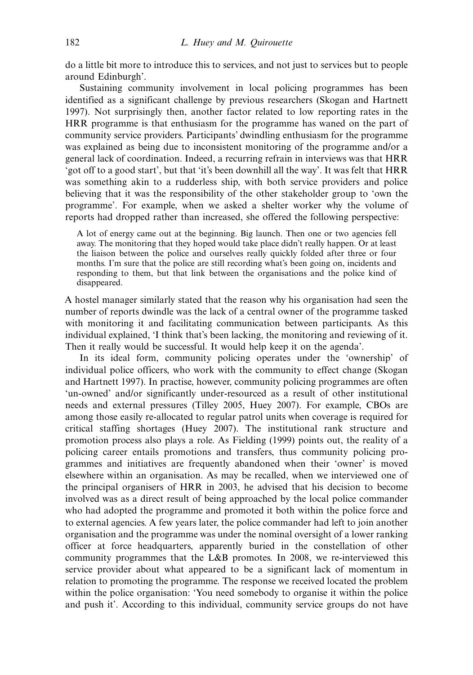do a little bit more to introduce this to services, and not just to services but to people around Edinburgh'.

Sustaining community involvement in local policing programmes has been identified as a significant challenge by previous researchers (Skogan and Hartnett 1997). Not surprisingly then, another factor related to low reporting rates in the HRR programme is that enthusiasm for the programme has waned on the part of community service providers. Participants' dwindling enthusiasm for the programme was explained as being due to inconsistent monitoring of the programme and/or a general lack of coordination. Indeed, a recurring refrain in interviews was that HRR 'got off to a good start', but that 'it's been downhill all the way'. It was felt that HRR was something akin to a rudderless ship, with both service providers and police believing that it was the responsibility of the other stakeholder group to 'own the programme'. For example, when we asked a shelter worker why the volume of reports had dropped rather than increased, she offered the following perspective:

A lot of energy came out at the beginning. Big launch. Then one or two agencies fell away. The monitoring that they hoped would take place didn't really happen. Or at least the liaison between the police and ourselves really quickly folded after three or four months. I'm sure that the police are still recording what's been going on, incidents and responding to them, but that link between the organisations and the police kind of disappeared.

A hostel manager similarly stated that the reason why his organisation had seen the number of reports dwindle was the lack of a central owner of the programme tasked with monitoring it and facilitating communication between participants. As this individual explained, 'I think that's been lacking, the monitoring and reviewing of it. Then it really would be successful. It would help keep it on the agenda'.

In its ideal form, community policing operates under the 'ownership' of individual police officers, who work with the community to effect change (Skogan and Hartnett 1997). In practise, however, community policing programmes are often 'un-owned' and/or significantly under-resourced as a result of other institutional needs and external pressures (Tilley 2005, Huey 2007). For example, CBOs are among those easily re-allocated to regular patrol units when coverage is required for critical staffing shortages (Huey 2007). The institutional rank structure and promotion process also plays a role. As Fielding (1999) points out, the reality of a policing career entails promotions and transfers, thus community policing programmes and initiatives are frequently abandoned when their 'owner' is moved elsewhere within an organisation. As may be recalled, when we interviewed one of the principal organisers of HRR in 2003, he advised that his decision to become involved was as a direct result of being approached by the local police commander who had adopted the programme and promoted it both within the police force and to external agencies. A few years later, the police commander had left to join another organisation and the programme was under the nominal oversight of a lower ranking officer at force headquarters, apparently buried in the constellation of other community programmes that the L&B promotes. In 2008, we re-interviewed this service provider about what appeared to be a significant lack of momentum in relation to promoting the programme. The response we received located the problem within the police organisation: 'You need somebody to organise it within the police and push it'. According to this individual, community service groups do not have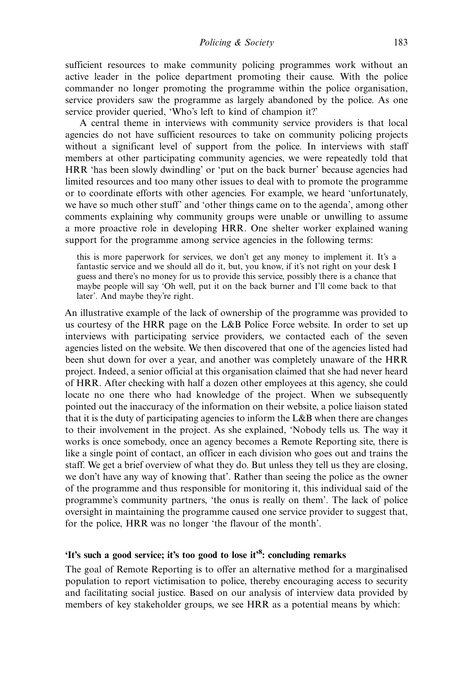sufficient resources to make community policing programmes work without an active leader in the police department promoting their cause. With the police commander no longer promoting the programme within the police organisation, service providers saw the programme as largely abandoned by the police. As one service provider queried, 'Who's left to kind of champion it?'

A central theme in interviews with community service providers is that local agencies do not have sufficient resources to take on community policing projects without a significant level of support from the police. In interviews with staff members at other participating community agencies, we were repeatedly told that HRR 'has been slowly dwindling' or 'put on the back burner' because agencies had limited resources and too many other issues to deal with to promote the programme or to coordinate efforts with other agencies. For example, we heard 'unfortunately, we have so much other stuff' and 'other things came on to the agenda', among other comments explaining why community groups were unable or unwilling to assume a more proactive role in developing HRR. One shelter worker explained waning support for the programme among service agencies in the following terms:

this is more paperwork for services, we don't get any money to implement it. It's a fantastic service and we should all do it, but, you know, if it's not right on your desk I guess and there's no money for us to provide this service, possibly there is a chance that maybe people will say 'Oh well, put it on the back burner and I'll come back to that later'. And maybe they're right.

An illustrative example of the lack of ownership of the programme was provided to us courtesy of the HRR page on the L&B Police Force website. In order to set up interviews with participating service providers, we contacted each of the seven agencies listed on the website. We then discovered that one of the agencies listed had been shut down for over a year, and another was completely unaware of the HRR project. Indeed, a senior official at this organisation claimed that she had never heard of HRR. After checking with half a dozen other employees at this agency, she could locate no one there who had knowledge of the project. When we subsequently pointed out the inaccuracy of the information on their website, a police liaison stated that it is the duty of participating agencies to inform the L&B when there are changes to their involvement in the project. As she explained, 'Nobody tells us. The way it works is once somebody, once an agency becomes a Remote Reporting site, there is like a single point of contact, an officer in each division who goes out and trains the staff. We get a brief overview of what they do. But unless they tell us they are closing, we don't have any way of knowing that'. Rather than seeing the police as the owner of the programme and thus responsible for monitoring it, this individual said of the programme's community partners, 'the onus is really on them'. The lack of police oversight in maintaining the programme caused one service provider to suggest that, for the police, HRR was no longer 'the flavour of the month'.

## 'It's such a good service; it's too good to lose it'<sup>8</sup>: concluding remarks

The goal of Remote Reporting is to offer an alternative method for a marginalised population to report victimisation to police, thereby encouraging access to security and facilitating social justice. Based on our analysis of interview data provided by members of key stakeholder groups, we see HRR as a potential means by which: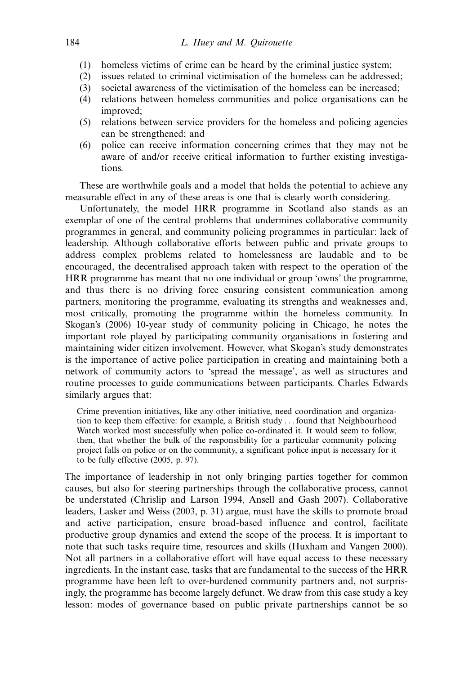- (1) homeless victims of crime can be heard by the criminal justice system;
- (2) issues related to criminal victimisation of the homeless can be addressed;
- (3) societal awareness of the victimisation of the homeless can be increased;
- (4) relations between homeless communities and police organisations can be improved;
- (5) relations between service providers for the homeless and policing agencies can be strengthened; and
- (6) police can receive information concerning crimes that they may not be aware of and/or receive critical information to further existing investigations.

These are worthwhile goals and a model that holds the potential to achieve any measurable effect in any of these areas is one that is clearly worth considering.

Unfortunately, the model HRR programme in Scotland also stands as an exemplar of one of the central problems that undermines collaborative community programmes in general, and community policing programmes in particular: lack of leadership. Although collaborative efforts between public and private groups to address complex problems related to homelessness are laudable and to be encouraged, the decentralised approach taken with respect to the operation of the HRR programme has meant that no one individual or group 'owns' the programme, and thus there is no driving force ensuring consistent communication among partners, monitoring the programme, evaluating its strengths and weaknesses and, most critically, promoting the programme within the homeless community. In Skogan's (2006) 10-year study of community policing in Chicago, he notes the important role played by participating community organisations in fostering and maintaining wider citizen involvement. However, what Skogan's study demonstrates is the importance of active police participation in creating and maintaining both a network of community actors to 'spread the message', as well as structures and routine processes to guide communications between participants. Charles Edwards similarly argues that:

Crime prevention initiatives, like any other initiative, need coordination and organization to keep them effective: for example, a British study ... found that Neighbourhood Watch worked most successfully when police co-ordinated it. It would seem to follow, then, that whether the bulk of the responsibility for a particular community policing project falls on police or on the community, a significant police input is necessary for it to be fully effective (2005, p. 97).

The importance of leadership in not only bringing parties together for common causes, but also for steering partnerships through the collaborative process, cannot be understated (Chrislip and Larson 1994, Ansell and Gash 2007). Collaborative leaders, Lasker and Weiss (2003, p. 31) argue, must have the skills to promote broad and active participation, ensure broad-based influence and control, facilitate productive group dynamics and extend the scope of the process. It is important to note that such tasks require time, resources and skills (Huxham and Vangen 2000). Not all partners in a collaborative effort will have equal access to these necessary ingredients. In the instant case, tasks that are fundamental to the success of the HRR programme have been left to over-burdened community partners and, not surprisingly, the programme has become largely defunct. We draw from this case study a key lesson: modes of governance based on public-private partnerships cannot be so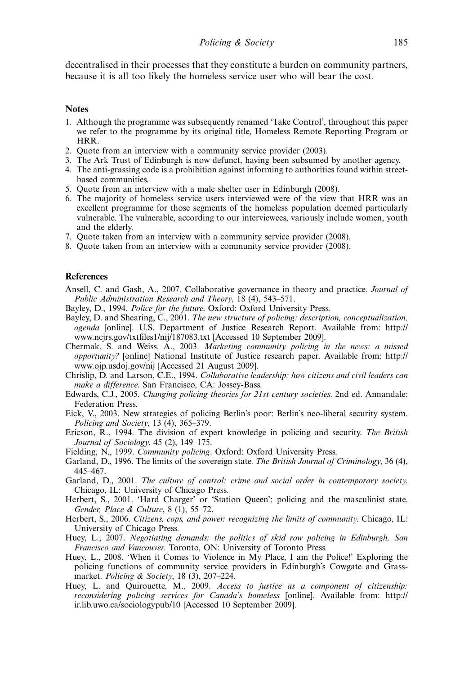decentralised in their processes that they constitute a burden on community partners, because it is all too likely the homeless service user who will bear the cost.

#### **Notes**

- 1. Although the programme was subsequently renamed 'Take Control', throughout this paper we refer to the programme by its original title, Homeless Remote Reporting Program or HRR.
- 2. Quote from an interview with a community service provider (2003).
- 3. The Ark Trust of Edinburgh is now defunct, having been subsumed by another agency.
- 4. The anti-grassing code is a prohibition against informing to authorities found within streetbased communities.
- 5. Quote from an interview with a male shelter user in Edinburgh (2008).
- 6. The majority of homeless service users interviewed were of the view that HRR was an excellent programme for those segments of the homeless population deemed particularly vulnerable. The vulnerable, according to our interviewees, variously include women, youth and the elderly.
- 7. Quote taken from an interview with a community service provider (2008).
- 8. Quote taken from an interview with a community service provider (2008).

#### **References**

- Ansell, C. and Gash, A., 2007. Collaborative governance in theory and practice. Journal of Public Administration Research and Theory, 18 (4), 543–571.
- Bayley, D., 1994. Police for the future. Oxford: Oxford University Press.
- Bayley, D. and Shearing, C., 2001. The new structure of policing: description, conceptualization, agenda [online]. U.S. Department of Justice Research Report. Available from: [http://](http://www.ncjrs.gov/txtfiles1/nij/187083.txt) [www.ncjrs.gov/txtfiles1/nij/187083.txt](http://www.ncjrs.gov/txtfiles1/nij/187083.txt) [Accessed 10 September 2009].
- Chermak, S. and Weiss, A., 2003. Marketing community policing in the news: a missed opportunity? [online] National Institute of Justice research paper. Available from: [http://](http://www.ojp.usdoj.gov/nij) [www.ojp.usdoj.gov/nij](http://www.ojp.usdoj.gov/nij) [Accessed 21 August 2009].
- Chrislip, D. and Larson, C.E., 1994. Collaborative leadership: how citizens and civil leaders can make a difference. San Francisco, CA: Jossey-Bass.
- Edwards, C.J., 2005. Changing policing theories for 21st century societies. 2nd ed. Annandale: Federation Press.
- Eick, V., 2003. New strategies of policing Berlin's poor: Berlin's neo-liberal security system. Policing and Society,  $13$  (4),  $365-379$ .
- Ericson, R., 1994. The division of expert knowledge in policing and security. The British Journal of Sociology,  $45$  (2),  $149-175$ .
- Fielding, N., 1999. Community policing. Oxford: Oxford University Press.
- Garland, D., 1996. The limits of the sovereign state. The British Journal of Criminology, 36 (4), 445467.
- Garland, D., 2001. The culture of control: crime and social order in contemporary society. Chicago, IL: University of Chicago Press.
- Herbert, S., 2001. 'Hard Charger' or 'Station Queen': policing and the masculinist state. Gender, Place & Culture,  $8(1)$ , 55-72.
- Herbert, S., 2006. Citizens, cops, and power: recognizing the limits of community. Chicago, IL: University of Chicago Press.
- Huey, L., 2007. Negotiating demands: the politics of skid row policing in Edinburgh, San Francisco and Vancouver. Toronto, ON: University of Toronto Press.
- Huey, L., 2008. 'When it Comes to Violence in My Place, I am the Police!' Exploring the policing functions of community service providers in Edinburgh's Cowgate and Grassmarket. *Policing & Society*, 18  $(3)$ , 207–224.
- Huey, L. and Quirouette, M., 2009. Access to justice as a component of citizenship: reconsidering policing services for Canada's homeless [online]. Available from: [http://](http://ir.lib.uwo.ca/sociologypub/10) [ir.lib.uwo.ca/sociologypub/10](http://ir.lib.uwo.ca/sociologypub/10) [Accessed 10 September 2009].